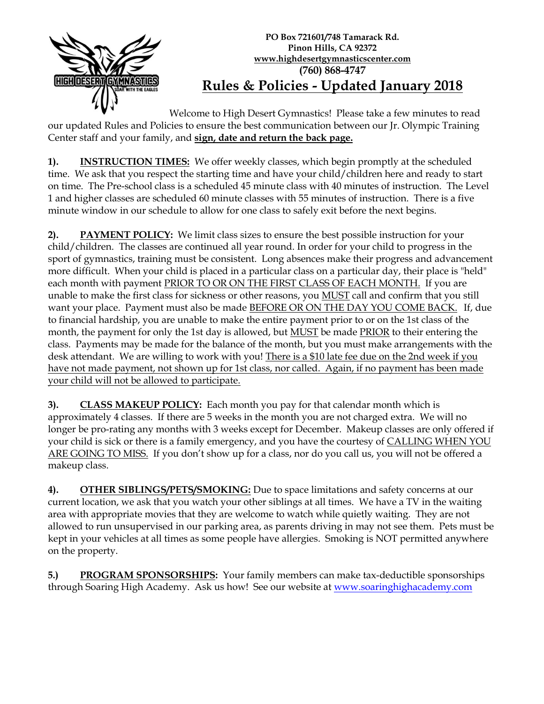

## **PO Box 721601/748 Tamarack Rd. Pinon Hills, CA 92372 www.highdesertgymnasticscenter.com (760) 868-4747 Rules & Policies - Updated January 2018**

Welcome to High Desert Gymnastics! Please take a few minutes to read our updated Rules and Policies to ensure the best communication between our Jr. Olympic Training Center staff and your family, and **sign, date and return the back page.**

**1). INSTRUCTION TIMES:** We offer weekly classes, which begin promptly at the scheduled time. We ask that you respect the starting time and have your child/children here and ready to start on time. The Pre-school class is a scheduled 45 minute class with 40 minutes of instruction. The Level 1 and higher classes are scheduled 60 minute classes with 55 minutes of instruction. There is a five minute window in our schedule to allow for one class to safely exit before the next begins.

**2). PAYMENT POLICY:** We limit class sizes to ensure the best possible instruction for your child/children. The classes are continued all year round. In order for your child to progress in the sport of gymnastics, training must be consistent. Long absences make their progress and advancement more difficult. When your child is placed in a particular class on a particular day, their place is "held" each month with payment PRIOR TO OR ON THE FIRST CLASS OF EACH MONTH. If you are unable to make the first class for sickness or other reasons, you MUST call and confirm that you still want your place. Payment must also be made BEFORE OR ON THE DAY YOU COME BACK. If, due to financial hardship, you are unable to make the entire payment prior to or on the 1st class of the month, the payment for only the 1st day is allowed, but **MUST** be made **PRIOR** to their entering the class. Payments may be made for the balance of the month, but you must make arrangements with the desk attendant. We are willing to work with you! There is a \$10 late fee due on the 2nd week if you have not made payment, not shown up for 1st class, nor called. Again, if no payment has been made your child will not be allowed to participate.

**3). CLASS MAKEUP POLICY:** Each month you pay for that calendar month which is approximately 4 classes. If there are 5 weeks in the month you are not charged extra. We will no longer be pro-rating any months with 3 weeks except for December. Makeup classes are only offered if your child is sick or there is a family emergency, and you have the courtesy of CALLING WHEN YOU ARE GOING TO MISS. If you don't show up for a class, nor do you call us, you will not be offered a makeup class.

**4). OTHER SIBLINGS/PETS/SMOKING:** Due to space limitations and safety concerns at our current location, we ask that you watch your other siblings at all times. We have a TV in the waiting area with appropriate movies that they are welcome to watch while quietly waiting. They are not allowed to run unsupervised in our parking area, as parents driving in may not see them. Pets must be kept in your vehicles at all times as some people have allergies. Smoking is NOT permitted anywhere on the property.

**5.) PROGRAM SPONSORSHIPS:** Your family members can make tax-deductible sponsorships through Soaring High Academy. Ask us how! See our website at [www.soaringhighacademy.com](http://www.soaringhighacademy.com/)